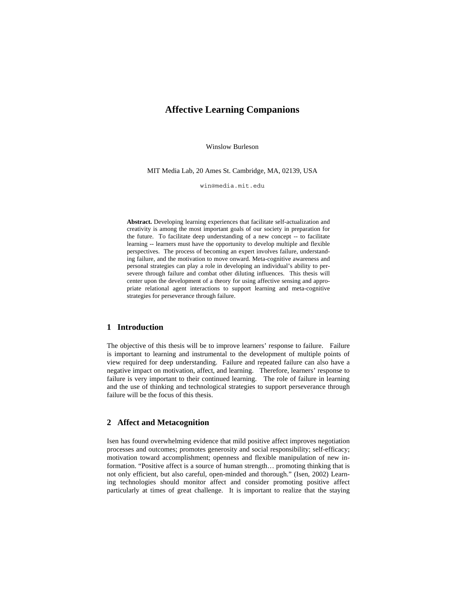# **Affective Learning Companions**

Winslow Burleson

MIT Media Lab, 20 Ames St. Cambridge, MA, 02139, USA

win@media.mit.edu

**Abstract.** Developing learning experiences that facilitate self-actualization and creativity is among the most important goals of our society in preparation for the future. To facilitate deep understanding of a new concept -- to facilitate learning -- learners must have the opportunity to develop multiple and flexible perspectives. The process of becoming an expert involves failure, understanding failure, and the motivation to move onward. Meta-cognitive awareness and personal strategies can play a role in developing an individual's ability to persevere through failure and combat other diluting influences. This thesis will center upon the development of a theory for using affective sensing and appropriate relational agent interactions to support learning and meta-cognitive strategies for perseverance through failure.

## **1 Introduction**

The objective of this thesis will be to improve learners' response to failure. Failure is important to learning and instrumental to the development of multiple points of view required for deep understanding. Failure and repeated failure can also have a negative impact on motivation, affect, and learning. Therefore, learners' response to failure is very important to their continued learning. The role of failure in learning and the use of thinking and technological strategies to support perseverance through failure will be the focus of this thesis.

## **2 Affect and Metacognition**

Isen has found overwhelming evidence that mild positive affect improves negotiation processes and outcomes; promotes generosity and social responsibility; self-efficacy; motivation toward accomplishment; openness and flexible manipulation of new information. "Positive affect is a source of human strength… promoting thinking that is not only efficient, but also careful, open-minded and thorough." (Isen, 2002) Learning technologies should monitor affect and consider promoting positive affect particularly at times of great challenge. It is important to realize that the staying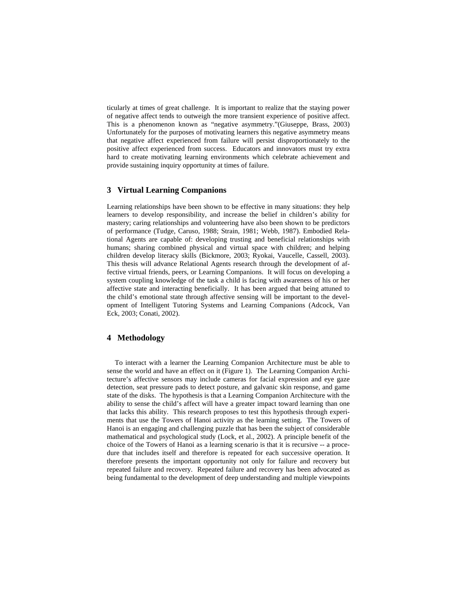ticularly at times of great challenge. It is important to realize that the staying power of negative affect tends to outweigh the more transient experience of positive affect. This is a phenomenon known as "negative asymmetry."(Giuseppe, Brass, 2003) Unfortunately for the purposes of motivating learners this negative asymmetry means that negative affect experienced from failure will persist disproportionately to the positive affect experienced from success. Educators and innovators must try extra hard to create motivating learning environments which celebrate achievement and provide sustaining inquiry opportunity at times of failure.

## **3 Virtual Learning Companions**

Learning relationships have been shown to be effective in many situations: they help learners to develop responsibility, and increase the belief in children's ability for mastery; caring relationships and volunteering have also been shown to be predictors of performance (Tudge, Caruso, 1988; Strain, 1981; Webb, 1987). Embodied Relational Agents are capable of: developing trusting and beneficial relationships with humans; sharing combined physical and virtual space with children; and helping children develop literacy skills (Bickmore, 2003; Ryokai, Vaucelle, Cassell, 2003). This thesis will advance Relational Agents research through the development of affective virtual friends, peers, or Learning Companions. It will focus on developing a system coupling knowledge of the task a child is facing with awareness of his or her affective state and interacting beneficially. It has been argued that being attuned to the child's emotional state through affective sensing will be important to the development of Intelligent Tutoring Systems and Learning Companions (Adcock, Van Eck, 2003; Conati, 2002).

### **4 Methodology**

To interact with a learner the Learning Companion Architecture must be able to sense the world and have an effect on it (Figure 1). The Learning Companion Architecture's affective sensors may include cameras for facial expression and eye gaze detection, seat pressure pads to detect posture, and galvanic skin response, and game state of the disks. The hypothesis is that a Learning Companion Architecture with the ability to sense the child's affect will have a greater impact toward learning than one that lacks this ability. This research proposes to test this hypothesis through experiments that use the Towers of Hanoi activity as the learning setting. The Towers of Hanoi is an engaging and challenging puzzle that has been the subject of considerable mathematical and psychological study (Lock, et al., 2002). A principle benefit of the choice of the Towers of Hanoi as a learning scenario is that it is recursive -- a procedure that includes itself and therefore is repeated for each successive operation. It therefore presents the important opportunity not only for failure and recovery but repeated failure and recovery. Repeated failure and recovery has been advocated as being fundamental to the development of deep understanding and multiple viewpoints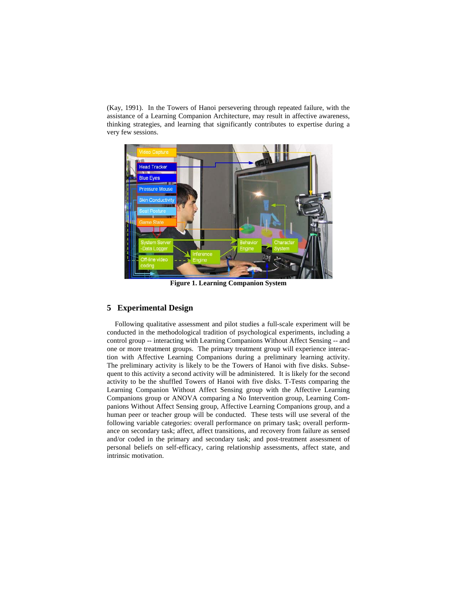(Kay, 1991). In the Towers of Hanoi persevering through repeated failure, with the assistance of a Learning Companion Architecture, may result in affective awareness, thinking strategies, and learning that significantly contributes to expertise during a very few sessions.



**Figure 1. Learning Companion System**

## **5 Experimental Design**

Following qualitative assessment and pilot studies a full-scale experiment will be conducted in the methodological tradition of psychological experiments, including a control group -- interacting with Learning Companions Without Affect Sensing -- and one or more treatment groups. The primary treatment group will experience interaction with Affective Learning Companions during a preliminary learning activity. The preliminary activity is likely to be the Towers of Hanoi with five disks. Subsequent to this activity a second activity will be administered. It is likely for the second activity to be the shuffled Towers of Hanoi with five disks. T-Tests comparing the Learning Companion Without Affect Sensing group with the Affective Learning Companions group or ANOVA comparing a No Intervention group, Learning Companions Without Affect Sensing group, Affective Learning Companions group, and a human peer or teacher group will be conducted. These tests will use several of the following variable categories: overall performance on primary task; overall performance on secondary task; affect, affect transitions, and recovery from failure as sensed and/or coded in the primary and secondary task; and post-treatment assessment of personal beliefs on self-efficacy, caring relationship assessments, affect state, and intrinsic motivation.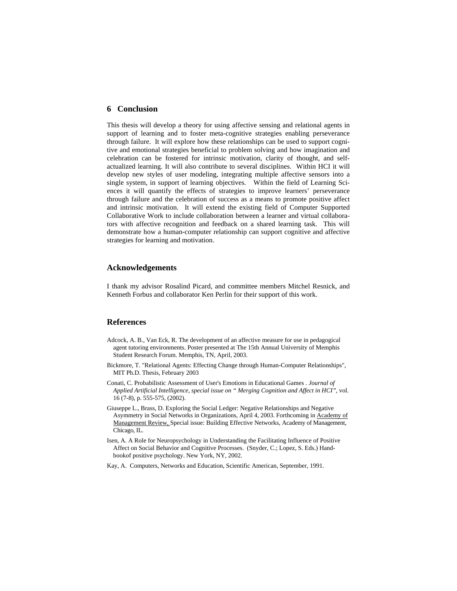### **6 Conclusion**

This thesis will develop a theory for using affective sensing and relational agents in support of learning and to foster meta-cognitive strategies enabling perseverance through failure. It will explore how these relationships can be used to support cognitive and emotional strategies beneficial to problem solving and how imagination and celebration can be fostered for intrinsic motivation, clarity of thought, and selfactualized learning. It will also contribute to several disciplines. Within HCI it will develop new styles of user modeling, integrating multiple affective sensors into a single system, in support of learning objectives. Within the field of Learning Sciences it will quantify the effects of strategies to improve learners' perseverance through failure and the celebration of success as a means to promote positive affect and intrinsic motivation. It will extend the existing field of Computer Supported Collaborative Work to include collaboration between a learner and virtual collaborators with affective recognition and feedback on a shared learning task. This will demonstrate how a human-computer relationship can support cognitive and affective strategies for learning and motivation.

#### **Acknowledgements**

I thank my advisor Rosalind Picard, and committee members Mitchel Resnick, and Kenneth Forbus and collaborator Ken Perlin for their support of this work.

## **References**

- Adcock, A. B., Van Eck, R. The development of an affective measure for use in pedagogical agent tutoring environments. Poster presented at The 15th Annual University of Memphis Student Research Forum. Memphis, TN, April, 2003.
- Bickmore, T. "Relational Agents: Effecting Change through Human-Computer Relationships", MIT Ph.D. Thesis, February 2003
- Conati, C. Probabilistic Assessment of User's Emotions in Educational Games . *Journal of Applied Artificial Intelligence, special issue on " Merging Cognition and Affect in HCI"*, vol. 16 (7-8), p. 555-575, (2002).
- Giuseppe L., Brass, D. Exploring the Social Ledger: Negative Relationships and Negative Asymmetry in Social Networks in Organizations, April 4, 2003. Forthcoming in Academy of Management Review, Special issue: Building Effective Networks, Academy of Management, Chicago, IL.
- Isen, A. A Role for Neuropsychology in Understanding the Facilitating Influence of Positive Affect on Social Behavior and Cognitive Processes. (Snyder, C.; Lopez, S. Eds.) Handbookof positive psychology. New York, NY, 2002.
- Kay, A. Computers, Networks and Education, Scientific American, September, 1991.